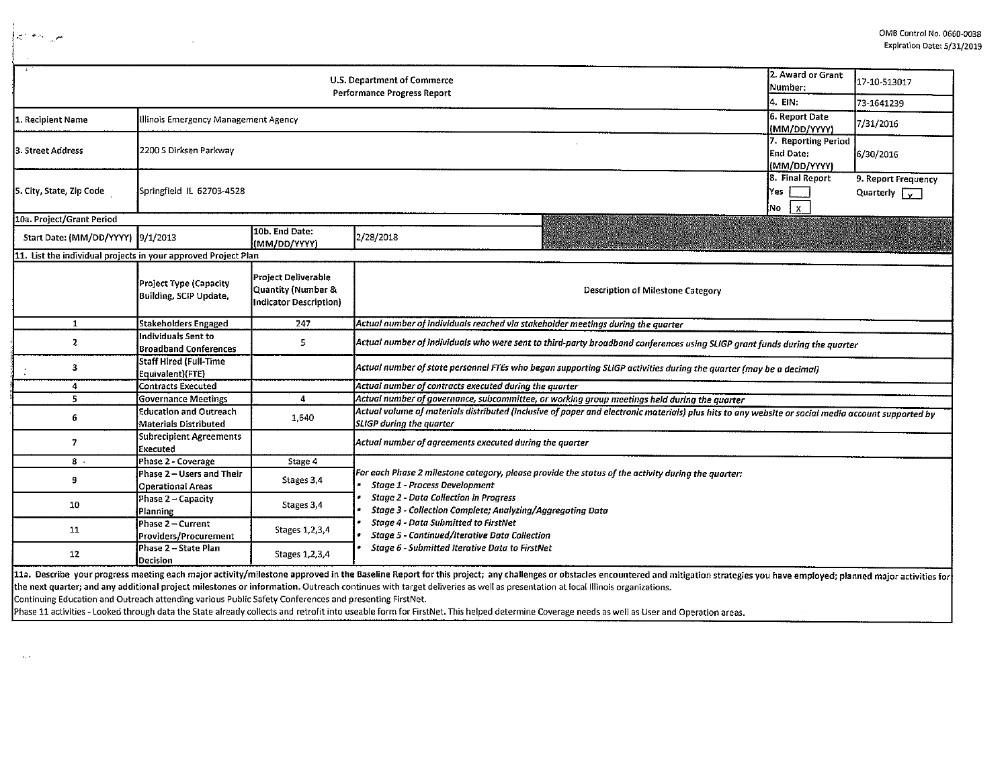|                                                                | 2. Award or Grant<br>Number:                                  | 17-10-513017                                                               |                                                                                                                                                                                       |                                                  |                                                       |  |  |  |  |
|----------------------------------------------------------------|---------------------------------------------------------------|----------------------------------------------------------------------------|---------------------------------------------------------------------------------------------------------------------------------------------------------------------------------------|--------------------------------------------------|-------------------------------------------------------|--|--|--|--|
|                                                                | 4. EIN:                                                       | 73-1641239                                                                 |                                                                                                                                                                                       |                                                  |                                                       |  |  |  |  |
| 1. Recipient Name                                              | Illinois Emergency Management Agency                          | 6. Report Date<br>(MM/DD/YYYY)                                             | 7/31/2016                                                                                                                                                                             |                                                  |                                                       |  |  |  |  |
| 3. Street Address                                              | 2200 S Dirksen Parkway                                        |                                                                            |                                                                                                                                                                                       | 7. Reporting Period<br>End Date:<br>(MM/DD/YYYY) | 6/30/2016                                             |  |  |  |  |
| 5. City, State, Zip Code                                       | Springfield IL 62703-4528                                     |                                                                            |                                                                                                                                                                                       | 8. Final Report<br>Yes<br>No<br>$\mathbf{x}$     | 9. Report Frequency<br>Quarterly $\sqrt{\frac{1}{x}}$ |  |  |  |  |
| 10a. Project/Grant Period                                      |                                                               |                                                                            |                                                                                                                                                                                       |                                                  |                                                       |  |  |  |  |
| Start Date: (MM/DD/YYYY) 9/1/2013                              |                                                               | 10b. End Date:<br>(MM/DD/YYYY)                                             | 2/28/2018                                                                                                                                                                             |                                                  |                                                       |  |  |  |  |
| 11. List the individual projects in your approved Project Plan |                                                               |                                                                            |                                                                                                                                                                                       |                                                  |                                                       |  |  |  |  |
|                                                                | Project Type (Capacity<br><b>Building, SCIP Update,</b>       | <b>Project Deliverable</b><br>Quantity (Number &<br>Indicator Description) | <b>Description of Milestone Category</b>                                                                                                                                              |                                                  |                                                       |  |  |  |  |
| $\mathbf{1}$                                                   | <b>Stakeholders Engaged</b>                                   | 247                                                                        | Actual number of individuals reached via stakeholder meetings during the quarter                                                                                                      |                                                  |                                                       |  |  |  |  |
| $\mathbf{z}$                                                   | ndividuals Sent to<br><b>Broadband Conferences</b>            | 5.                                                                         | Actual number of individuals who were sent to third-party broadband conferences using SLIGP grant funds during the quarter                                                            |                                                  |                                                       |  |  |  |  |
| 3                                                              | <b>Staff Hired (Full-Time</b><br>Equivalent)(FTE)             |                                                                            | Actual number of state personnel FTEs who began supporting SLIGP activities during the quarter (may be a decimal)                                                                     |                                                  |                                                       |  |  |  |  |
| 4                                                              | <b>Contracts Executed</b>                                     |                                                                            | Actual number of contracts executed during the quarter                                                                                                                                |                                                  |                                                       |  |  |  |  |
| 5                                                              | <b>Governance Meetings</b>                                    | $\overline{4}$                                                             | Actual number of governance, subcommittee, or working group meetings held during the quarter                                                                                          |                                                  |                                                       |  |  |  |  |
| 6                                                              | <b>Education and Outreach</b><br><b>Materials Distributed</b> | 1,640                                                                      | Actual volume of materials distributed (inclusive of paper and electronic materials) plus hits to any website or social media account supported by<br><b>SLIGP during the quarter</b> |                                                  |                                                       |  |  |  |  |
| $\overline{7}$                                                 | <b>Subrecipient Agreements</b><br>Executed                    |                                                                            | Actual number of agreements executed during the quarter                                                                                                                               |                                                  |                                                       |  |  |  |  |
| $8$ .                                                          | Phase 2 - Coverage                                            | Stage 4                                                                    |                                                                                                                                                                                       |                                                  |                                                       |  |  |  |  |
| 9                                                              | Phase 2 - Users and Their<br><b>Operational Areas</b>         | Stages 3,4                                                                 | For each Phase 2 milestone category, please provide the status of the activity during the quarter:<br><b>Stage 1 - Process Development</b>                                            |                                                  |                                                       |  |  |  |  |
| 10                                                             | Phase 2 - Capacity<br>Planning                                | Stages 3,4                                                                 | <b>Stage 2 - Data Collection in Progress</b><br>Stage 3 - Collection Complete; Analyzing/Aggregating Data                                                                             |                                                  |                                                       |  |  |  |  |
| $11\,$                                                         | Phase 2 - Current<br>Providers/Procurement                    | Stages 1,2,3,4                                                             | <b>Stage 4 - Data Submitted to FirstNet</b><br><b>Stage 5 - Continued/Iterative Data Collection</b>                                                                                   |                                                  |                                                       |  |  |  |  |
| 12                                                             | Phase 2 – State Plan<br>Decision                              | Stages 1,2,3,4                                                             | Stage 6 - Submitted Iterative Data to FirstNet                                                                                                                                        |                                                  |                                                       |  |  |  |  |

the next quarter; and any additional project milestones or information. Outreach continues with target deliveries as well as presentation at local Illinois organizations.

Continuing Education and Outreach attending various Public Safety Conferences and presenting FirstNet.

 $\ddot{\phantom{a}}$ 

 $\begin{cases} \mathcal{L}_{\mathcal{A}} \left( \mathcal{L}_{\mathcal{A}} \right) \geq \mathcal{L}_{\mathcal{A}} \\ \mathcal{L}_{\mathcal{A}} \left( \mathcal{L}_{\mathcal{A}} \right) \geq \mathcal{L}_{\mathcal{A}} \end{cases}$ 

 $\alpha$  .

Phase 11 activities - Looked through data the State already collects and retrofit into useable form for FirstNet. This helped determine Coverage needs as well as User and Operation areas.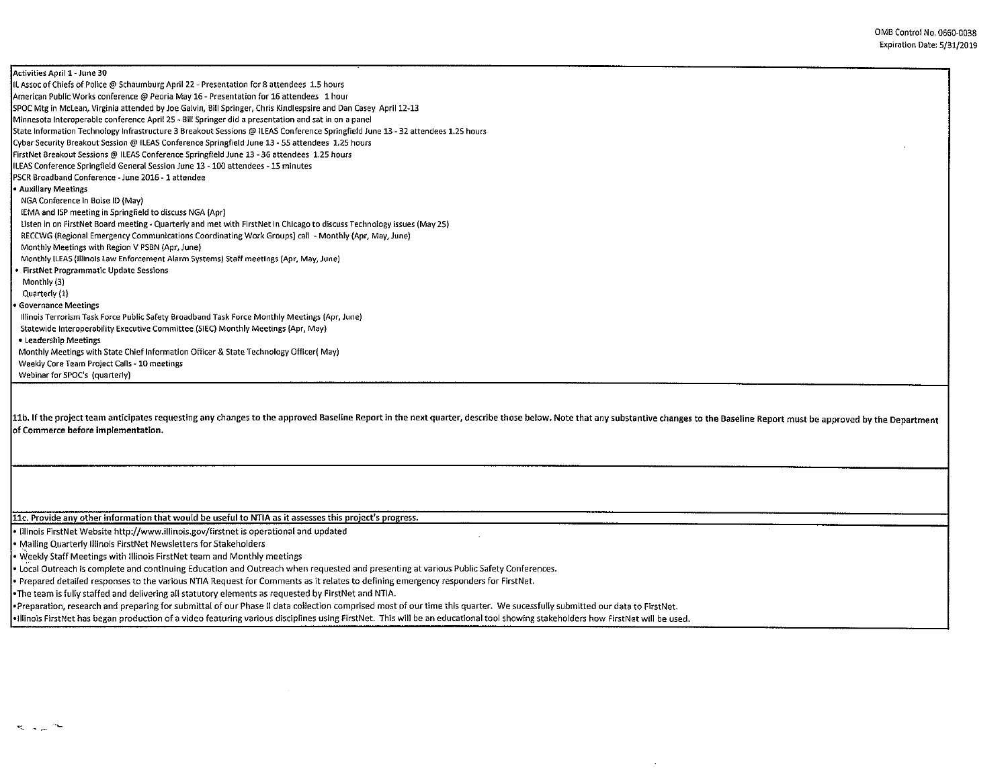Activities April 1-June 30 IL Assoc of Chiefs of Police@ Schaumburg April 22- Presentation for 8 attendees 1.5 hours American Public Works conference@ Peoria May 16- Presentation for 16 attendees 1 hour SPOC Mtg in Mclean, Virginia attended by Joe Galvin, Bill Springer, Chris Kindlespsire and Dan Casey April 12-13 Minnesota Interoperable conference April 25 - Bill Springer did a presentation and sat in on a panel State Information Technology Infrastructure 3 Breakout Sessions@ !LEAS Conference Springfield June 13- 32 attendees 1.25 hours Cyber Security Breakout Session@ ILEAS Conference Springfield June 13 - 55 attendees 1.25 hours FirstNet Breakout Sessions@ ILEAS Conference Springfield June 13 - 36 attendees 1.25 hours ILEAS Conference Springfield General Session June 13 -100 attendees -15 minutes PSCR Broadband Conference -June 2016-1 attendee • Auxiliary Meetings NGA Conference in Boise ID (May) IEMA and ISP meeting in Springfield to discuss NGA (Apr) Listen in on FirstNet Board meeting- Quarterly and met with FirstNet in Chicago to discuss Technology issues (May 25) RECCWG (Regional Emergency Communications Coordinating Work Groups) call - Monthly (Apr, May, June) Monthly Meetings with Region V PSBN (Apr, June) Monthly [LEAS (Illinois Law Enforcement Alarm Systems) Staff meetings (Apr, May, June) • FirstNet Programmatic Update Sessions Monthly (3) Quarterly (1) • Governance Meetings Illinois Terrorism Task Force Public Safety Broadband Task Force Monthly Meetings (Apr, June) Statewide Interoperability Executive Committee (SIEC) Monthly Meetings (Apr, May) • Leadership Meetings Monthly Meetings with State Chief Information Officer & State Technology Officer{ May) Weekly Core Team Project Calls -10 meetings Webinar for SPOC's (quarterly)

11b. If the project team anticipates requesting any changes to the approved Baseline Report in the next quarter, describe those below. Note that any substantive changes to the Baseline Report must be approved by the Depart of Commerce before implementation.

 $\mathcal{L}_{\mathcal{A}}$ 

llc. Provide any other information that would be useful to NTIA as it assesses this project's progress.

• Illinois FirstNet Website http://www.illinois.gov/firstnet is operational and updated

• Mailing Quarterly Illinois FirstNet Newsletters for Stakeholders

• Weekly Staff Meetings with Illinois FirstNet team and Monthly meetings

• L0Cal Outreach is complete and continuing Education and Outreach when requested and presenting at various Public Safety Conferences.

• Prepared detailed responses to the various NTIA Request for Comments as it relates to defining emergency responders for FirstNet.

•The team is fully staffed and delivering all statutory elements as requested by FirstNet and NTIA.

•Preparation, research and preparing for submittal of our Phase II data collection comprised most of our time this quarter. We sucessfully submitted our data to FirstNet.

•Illinois FirstNet has began production of a video featuring various disciplines using FirstNet. This will be an educational tool showing stakeholders how FirstNet will be used.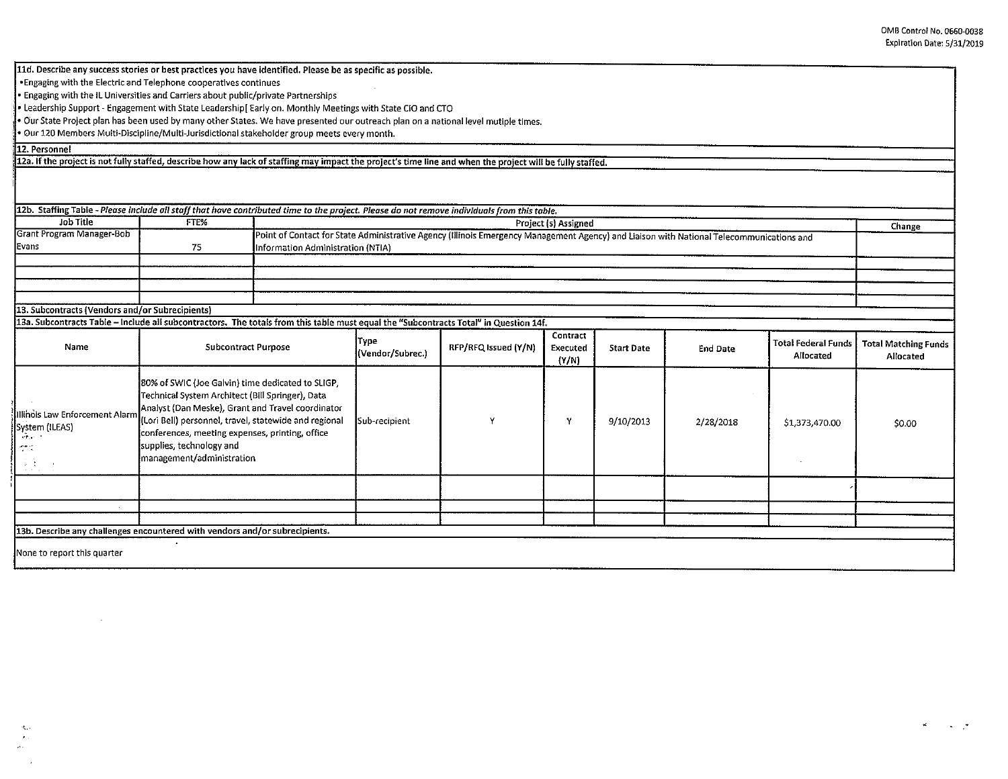| 11d. Describe any success stories or best practices you have identified. Please be as specific as possible.<br>. Engaging with the Electric and Telephone cooperatives continues |                                                                                                                                                                                                                                                                                                                                 |                                                                                                                                                                            |                                 |                      |                   |                   |                 |                                         |                                          |
|----------------------------------------------------------------------------------------------------------------------------------------------------------------------------------|---------------------------------------------------------------------------------------------------------------------------------------------------------------------------------------------------------------------------------------------------------------------------------------------------------------------------------|----------------------------------------------------------------------------------------------------------------------------------------------------------------------------|---------------------------------|----------------------|-------------------|-------------------|-----------------|-----------------------------------------|------------------------------------------|
| Engaging with the IL Universities and Carriers about public/private Partnerships                                                                                                 |                                                                                                                                                                                                                                                                                                                                 |                                                                                                                                                                            |                                 |                      |                   |                   |                 |                                         |                                          |
| · Leadership Support - Engagement with State Leadership[Early on. Monthly Meetings with State CIO and CTO                                                                        |                                                                                                                                                                                                                                                                                                                                 |                                                                                                                                                                            |                                 |                      |                   |                   |                 |                                         |                                          |
| . Our State Project plan has been used by many other States. We have presented our outreach plan on a national level mutiple times.                                              |                                                                                                                                                                                                                                                                                                                                 |                                                                                                                                                                            |                                 |                      |                   |                   |                 |                                         |                                          |
| · Our 120 Members Multi-Discipline/Multi-Jurisdictional stakeholder group meets every month.                                                                                     |                                                                                                                                                                                                                                                                                                                                 |                                                                                                                                                                            |                                 |                      |                   |                   |                 |                                         |                                          |
| 12. Personnel                                                                                                                                                                    |                                                                                                                                                                                                                                                                                                                                 |                                                                                                                                                                            |                                 |                      |                   |                   |                 |                                         |                                          |
| 12a. If the project is not fully staffed, describe how any lack of staffing may impact the project's time line and when the project will be fully staffed.                       |                                                                                                                                                                                                                                                                                                                                 |                                                                                                                                                                            |                                 |                      |                   |                   |                 |                                         |                                          |
|                                                                                                                                                                                  |                                                                                                                                                                                                                                                                                                                                 |                                                                                                                                                                            |                                 |                      |                   |                   |                 |                                         |                                          |
| 12b. Staffing Table - Please include all staff that have contributed time to the project. Please do not remove individuals from this table.<br>Job Title                         | FTE%                                                                                                                                                                                                                                                                                                                            |                                                                                                                                                                            |                                 |                      |                   |                   |                 |                                         |                                          |
| Grant Program Manager-Bob                                                                                                                                                        |                                                                                                                                                                                                                                                                                                                                 | Project (s) Assigned<br>Change<br>Point of Contact for State Administrative Agency (Illinois Emergency Management Agency) and Liaison with National Telecommunications and |                                 |                      |                   |                   |                 |                                         |                                          |
| Evans                                                                                                                                                                            | 75                                                                                                                                                                                                                                                                                                                              | Information Administration (NTIA)                                                                                                                                          |                                 |                      |                   |                   |                 |                                         |                                          |
|                                                                                                                                                                                  |                                                                                                                                                                                                                                                                                                                                 |                                                                                                                                                                            |                                 |                      |                   |                   |                 |                                         |                                          |
|                                                                                                                                                                                  |                                                                                                                                                                                                                                                                                                                                 |                                                                                                                                                                            |                                 |                      |                   |                   |                 |                                         |                                          |
|                                                                                                                                                                                  |                                                                                                                                                                                                                                                                                                                                 |                                                                                                                                                                            |                                 |                      |                   |                   |                 |                                         |                                          |
| 13. Subcontracts (Vendors and/or Subrecipients)                                                                                                                                  |                                                                                                                                                                                                                                                                                                                                 |                                                                                                                                                                            |                                 |                      |                   |                   |                 |                                         |                                          |
| 13a. Subcontracts Table – Include all subcontractors. The totals from this table must equal the "Subcontracts Total" in Question 14f.                                            |                                                                                                                                                                                                                                                                                                                                 |                                                                                                                                                                            |                                 |                      |                   |                   |                 |                                         |                                          |
|                                                                                                                                                                                  |                                                                                                                                                                                                                                                                                                                                 |                                                                                                                                                                            |                                 |                      | Contract          |                   |                 |                                         |                                          |
| Name                                                                                                                                                                             | <b>Subcontract Purpose</b>                                                                                                                                                                                                                                                                                                      |                                                                                                                                                                            | <b>Type</b><br>(Vendor/Subrec.) | RFP/RFQ Issued (Y/N) | Executed<br>(Y/N) | <b>Start Date</b> | <b>End Date</b> | <b>Total Federal Funds</b><br>Allocated | <b>Total Matching Funds</b><br>Allocated |
| Illinois Law Enforcement Alarn<br>System (ILEAS)<br>$\sqrt{2}$<br>$\overline{\mathcal{L}}$<br>法律 一天                                                                              | 80% of SWIC (Joe Galvin) time dedicated to SLIGP,<br>Technical System Architect (Bill Springer), Data<br>Analyst (Dan Meske), Grant and Travel coordinator<br>(Lori Bell) personnel, travel, statewide and regional<br>conferences, meeting expenses, printing, office<br>supplies, technology and<br>management/administration |                                                                                                                                                                            | Sub-recipient                   | Υ                    | Y                 | 9/10/2013         | 2/28/2018       | \$1,373,470.00                          | \$0.00                                   |
|                                                                                                                                                                                  |                                                                                                                                                                                                                                                                                                                                 |                                                                                                                                                                            |                                 |                      |                   |                   |                 |                                         |                                          |
|                                                                                                                                                                                  |                                                                                                                                                                                                                                                                                                                                 |                                                                                                                                                                            |                                 |                      |                   |                   |                 |                                         |                                          |
|                                                                                                                                                                                  |                                                                                                                                                                                                                                                                                                                                 |                                                                                                                                                                            |                                 |                      |                   |                   |                 |                                         |                                          |
| 13b. Describe any challenges encountered with vendors and/or subrecipients.                                                                                                      |                                                                                                                                                                                                                                                                                                                                 |                                                                                                                                                                            |                                 |                      |                   |                   |                 |                                         |                                          |
|                                                                                                                                                                                  |                                                                                                                                                                                                                                                                                                                                 |                                                                                                                                                                            |                                 |                      |                   |                   |                 |                                         |                                          |

None to report this quarter

 $\mathcal{L}^{\text{max}}$  ,  $\mathcal{L}^{\text{max}}$